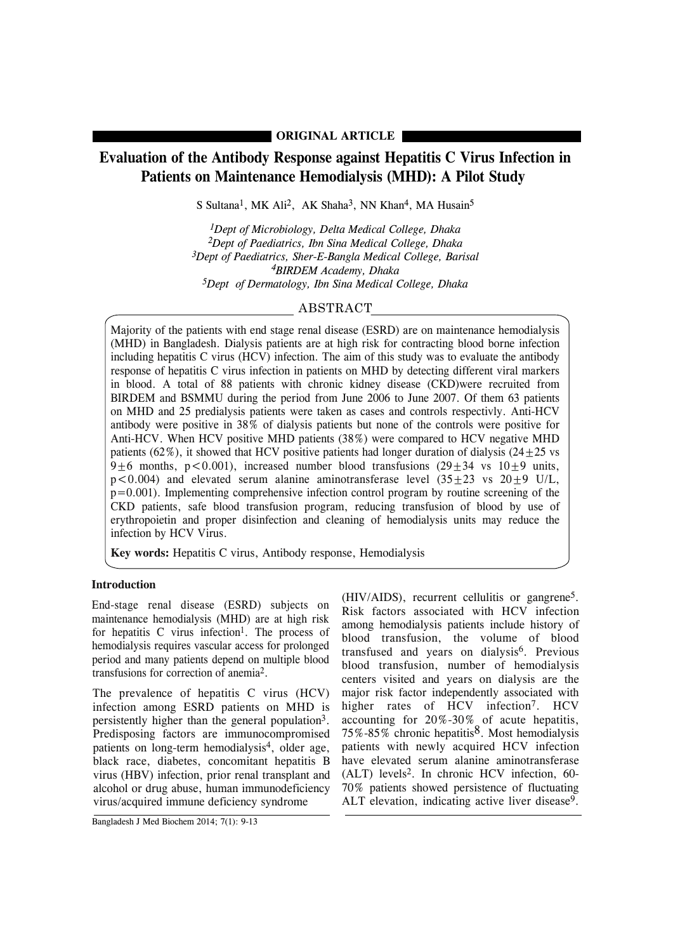# **ORIGINAL ARTICLE**

# **Evaluation of the Antibody Response against Hepatitis C Virus Infection in Patients on Maintenance Hemodialysis (MHD): A Pilot Study**

S Sultana<sup>1</sup>, MK Ali<sup>2</sup>, AK Shaha<sup>3</sup>, NN Khan<sup>4</sup>, MA Husain<sup>5</sup>

*1Dept of Microbiology, Delta Medical College, Dhaka 2Dept of Paediatrics, Ibn Sina Medical College, Dhaka 3Dept of Paediatrics, Sher-E-Bangla Medical College, Barisal 4BIRDEM Academy, Dhaka 5Dept of Dermatology, Ibn Sina Medical College, Dhaka*

# ABSTRACT

Majority of the patients with end stage renal disease (ESRD) are on maintenance hemodialysis (MHD) in Bangladesh. Dialysis patients are at high risk for contracting blood borne infection including hepatitis C virus (HCV) infection. The aim of this study was to evaluate the antibody response of hepatitis C virus infection in patients on MHD by detecting different viral markers in blood. A total of 88 patients with chronic kidney disease (CKD)were recruited from BIRDEM and BSMMU during the period from June 2006 to June 2007. Of them 63 patients on MHD and 25 predialysis patients were taken as cases and controls respectivly. Anti-HCV antibody were positive in 38% of dialysis patients but none of the controls were positive for Anti-HCV. When HCV positive MHD patients (38%) were compared to HCV negative MHD patients (62%), it showed that HCV positive patients had longer duration of dialysis (24+25 vs 9 $\pm$ 6 months, p<0.001), increased number blood transfusions (29 $\pm$ 34 vs 10 $\pm$ 9 units,  $p < 0.004$ ) and elevated serum alanine aminotransferase level  $(35+23 \text{ vs } 20+9 \text{ U/L})$ ,  $p=0.001$ ). Implementing comprehensive infection control program by routine screening of the CKD patients, safe blood transfusion program, reducing transfusion of blood by use of erythropoietin and proper disinfection and cleaning of hemodialysis units may reduce the infection by HCV Virus.

**Key words:** Hepatitis C virus, Antibody response, Hemodialysis

# **Introduction**

End-stage renal disease (ESRD) subjects on maintenance hemodialysis (MHD) are at high risk for hepatitis  $C$  virus infection<sup>1</sup>. The process of hemodialysis requires vascular access for prolonged period and many patients depend on multiple blood transfusions for correction of anemia2.

The prevalence of hepatitis C virus (HCV) infection among ESRD patients on MHD is persistently higher than the general population3. Predisposing factors are immunocompromised patients on long-term hemodialysis4, older age, black race, diabetes, concomitant hepatitis B virus (HBV) infection, prior renal transplant and alcohol or drug abuse, human immunodeficiency virus/acquired immune deficiency syndrome

(HIV/AIDS), recurrent cellulitis or gangrene5. Risk factors associated with HCV infection among hemodialysis patients include history of blood transfusion, the volume of blood transfused and years on dialysis<sup>6</sup>. Previous blood transfusion, number of hemodialysis centers visited and years on dialysis are the major risk factor independently associated with higher rates of HCV infection<sup>7</sup>. HCV accounting for 20%-30% of acute hepatitis, 75%-85% chronic hepatitis8. Most hemodialysis patients with newly acquired HCV infection have elevated serum alanine aminotransferase (ALT) levels2. In chronic HCV infection, 60- 70% patients showed persistence of fluctuating ALT elevation, indicating active liver disease<sup>9</sup>.

Bangladesh J Med Biochem 2014; 7(1): 9-13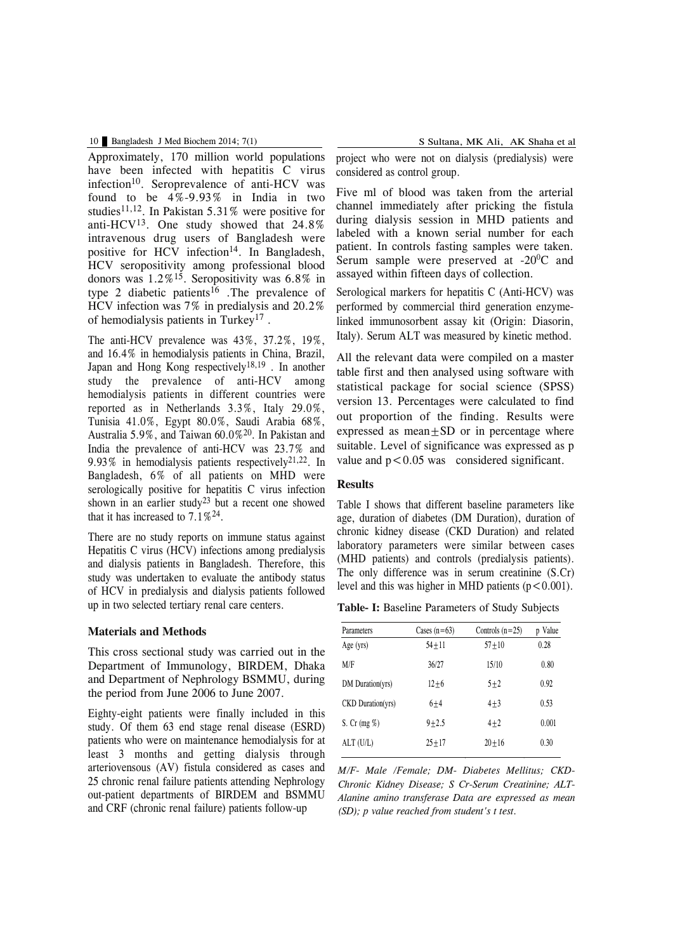#### 10 Bangladesh J Med Biochem 2014; 7(1) S Sultana, MK Ali, AK Shaha et al

Approximately, 170 million world populations have been infected with hepatitis C virus infection<sup>10</sup>. Seroprevalence of anti-HCV was found to be  $4\% - 9.93\%$  in India in two studies<sup>11,12</sup>. In Pakistan 5.31% were positive for anti-HCV13. One study showed that 24.8% intravenous drug users of Bangladesh were positive for HCV infection<sup>14</sup>. In Bangladesh, HCV seropositivity among professional blood donors was  $1.2\%$ <sup>15</sup>. Seropositivity was 6.8% in type 2 diabetic patients<sup>16</sup>. The prevalence of HCV infection was 7% in predialysis and 20.2% of hemodialysis patients in Turkey17 .

The anti-HCV prevalence was 43%, 37.2%, 19%, and 16.4% in hemodialysis patients in China, Brazil, Japan and Hong Kong respectively18,19 . In another study the prevalence of anti-HCV among hemodialysis patients in different countries were reported as in Netherlands 3.3%, Italy 29.0%, Tunisia 41.0%, Egypt 80.0%, Saudi Arabia 68%, Australia 5.9%, and Taiwan 60.0%20. In Pakistan and India the prevalence of anti-HCV was 23.7% and 9.93% in hemodialysis patients respectively21,22. In Bangladesh, 6% of all patients on MHD were serologically positive for hepatitis C virus infection shown in an earlier study<sup>23</sup> but a recent one showed that it has increased to  $7.1\%^{24}$ .

There are no study reports on immune status against Hepatitis C virus (HCV) infections among predialysis and dialysis patients in Bangladesh. Therefore, this study was undertaken to evaluate the antibody status of HCV in predialysis and dialysis patients followed up in two selected tertiary renal care centers.

## **Materials and Methods**

This cross sectional study was carried out in the Department of Immunology, BIRDEM, Dhaka and Department of Nephrology BSMMU, during the period from June 2006 to June 2007.

Eighty-eight patients were finally included in this study. Of them 63 end stage renal disease (ESRD) patients who were on maintenance hemodialysis for at least 3 months and getting dialysis through arteriovensous (AV) fistula considered as cases and 25 chronic renal failure patients attending Nephrology out-patient departments of BIRDEM and BSMMU and CRF (chronic renal failure) patients follow-up

project who were not on dialysis (predialysis) were considered as control group.

Five ml of blood was taken from the arterial channel immediately after pricking the fistula during dialysis session in MHD patients and labeled with a known serial number for each patient. In controls fasting samples were taken. Serum sample were preserved at  $-20^0C$  and assayed within fifteen days of collection.

Serological markers for hepatitis C (Anti-HCV) was performed by commercial third generation enzymelinked immunosorbent assay kit (Origin: Diasorin, Italy). Serum ALT was measured by kinetic method.

All the relevant data were compiled on a master table first and then analysed using software with statistical package for social science (SPSS) version 13. Percentages were calculated to find out proportion of the finding. Results were expressed as mean $+SD$  or in percentage where suitable. Level of significance was expressed as p value and  $p < 0.05$  was considered significant.

#### **Results**

Table I shows that different baseline parameters like age, duration of diabetes (DM Duration), duration of chronic kidney disease (CKD Duration) and related laboratory parameters were similar between cases (MHD patients) and controls (predialysis patients). The only difference was in serum creatinine (S.Cr) level and this was higher in MHD patients  $(p < 0.001)$ .

**Table- I:** Baseline Parameters of Study Subjects

|           |                | p Value           |
|-----------|----------------|-------------------|
| $54 + 11$ | $57 + 10$      | 0.28              |
| 36/27     | 15/10          | 0.80              |
| $12 + 6$  | $5 + 2$        | 0.92              |
| $6 + 4$   | $4 + 3$        | 0.53              |
| $9 + 2.5$ | $4 + 2$        | 0.001             |
| $25 + 17$ | $20 + 16$      | 0.30              |
|           | Cases $(n=63)$ | Controls $(n=25)$ |

*M/F- Male /Female; DM- Diabetes Mellitus; CKD-Chronic Kidney Disease; S Cr-Serum Creatinine; ALT-Alanine amino transferase Data are expressed as mean (SD); p value reached from student's t test.*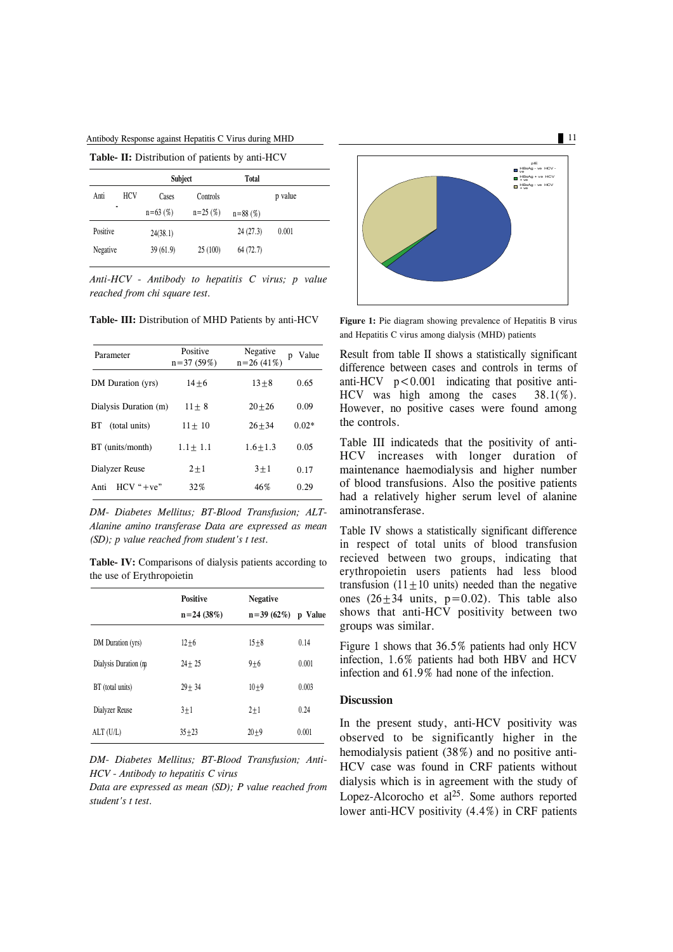Antibody Response against Hepatitis C Virus during MHD 11

| Table- II: Distribution of patients by anti-HCV |  |  |
|-------------------------------------------------|--|--|
|-------------------------------------------------|--|--|

|          |            | Subject      |             | <b>Total</b> |         |
|----------|------------|--------------|-------------|--------------|---------|
| Anti     | <b>HCV</b> | Cases        | Controls    |              | p value |
|          |            | $n = 63$ (%) | $n = 25(%)$ | $n = 88$ (%) |         |
| Positive |            | 24(38.1)     |             | 24(27.3)     | 0.001   |
| Negative |            | 39(61.9)     | 25(100)     | 64(72.7)     |         |

*Anti-HCV - Antibody to hepatitis C virus; p value reached from chi square test.*

**Table- III:** Distribution of MHD Patients by anti-HCV

| Parameter               | Positive<br>$n=37(59%)$ | Negative<br>$n=26(41%)$ | Value<br>p |
|-------------------------|-------------------------|-------------------------|------------|
| DM Duration (yrs)       | $14 + 6$                | $13 + 8$                | 0.65       |
| Dialysis Duration (m)   | $11 + 8$                | $20 + 26$               | 0.09       |
| (total units)<br>ВT     | $11 + 10$               | $26 + 34$               | $0.02*$    |
| BT (units/month)        | $1.1 + 1.1$             | $1.6 + 1.3$             | 0.05       |
| Dialyzer Reuse          | $2+1$                   | $3 + 1$                 | 0.17       |
| $HCV$ " $+ve$ "<br>Anti | 32%                     | 46%                     | 0.29       |
|                         |                         |                         |            |

*DM- Diabetes Mellitus; BT-Blood Transfusion; ALT-Alanine amino transferase Data are expressed as mean (SD); p value reached from student's t test.*

**Table- IV:** Comparisons of dialysis patients according to the use of Erythropoietin

|                      | <b>Positive</b> | <b>Negative</b> |         |
|----------------------|-----------------|-----------------|---------|
|                      | $n = 24$ (38%)  | $n=39(62\%)$    | p Value |
| DM Duration (yrs)    | $12 + 6$        | $15 + 8$        | 0.14    |
| Dialysis Duration (m | $24 + 25$       | $9 + 6$         | 0.001   |
| BT (total units)     | $29 + 34$       | $10 + 9$        | 0.003   |
| Dialyzer Reuse       | $3 + 1$         | $2 + 1$         | 0.24    |
| ALT (U/L)            | $35 + 23$       | $20 + 9$        | 0.001   |

*DM- Diabetes Mellitus; BT-Blood Transfusion; Anti-HCV - Antibody to hepatitis C virus*

*Data are expressed as mean (SD); P value reached from student's t test.*



**Figure 1:** Pie diagram showing prevalence of Hepatitis B virus and Hepatitis C virus among dialysis (MHD) patients

Result from table II shows a statistically significant difference between cases and controls in terms of anti-HCV  $p < 0.001$  indicating that positive anti-HCV was high among the cases 38.1(%). However, no positive cases were found among the controls.

Table III indicateds that the positivity of anti-HCV increases with longer duration of maintenance haemodialysis and higher number of blood transfusions. Also the positive patients had a relatively higher serum level of alanine aminotransferase.

Table IV shows a statistically significant difference in respect of total units of blood transfusion recieved between two groups, indicating that erythropoietin users patients had less blood transfusion  $(11 \pm 10)$  units) needed than the negative ones  $(26\pm34 \text{ units}, \text{ p}=0.02)$ . This table also shows that anti-HCV positivity between two groups was similar.

Figure 1 shows that 36.5% patients had only HCV infection, 1.6% patients had both HBV and HCV infection and 61.9% had none of the infection.

### **Discussion**

In the present study, anti-HCV positivity was observed to be significantly higher in the hemodialysis patient (38%) and no positive anti-HCV case was found in CRF patients without dialysis which is in agreement with the study of Lopez-Alcorocho et al 25. Some authors reported lower anti-HCV positivity (4.4%) in CRF patients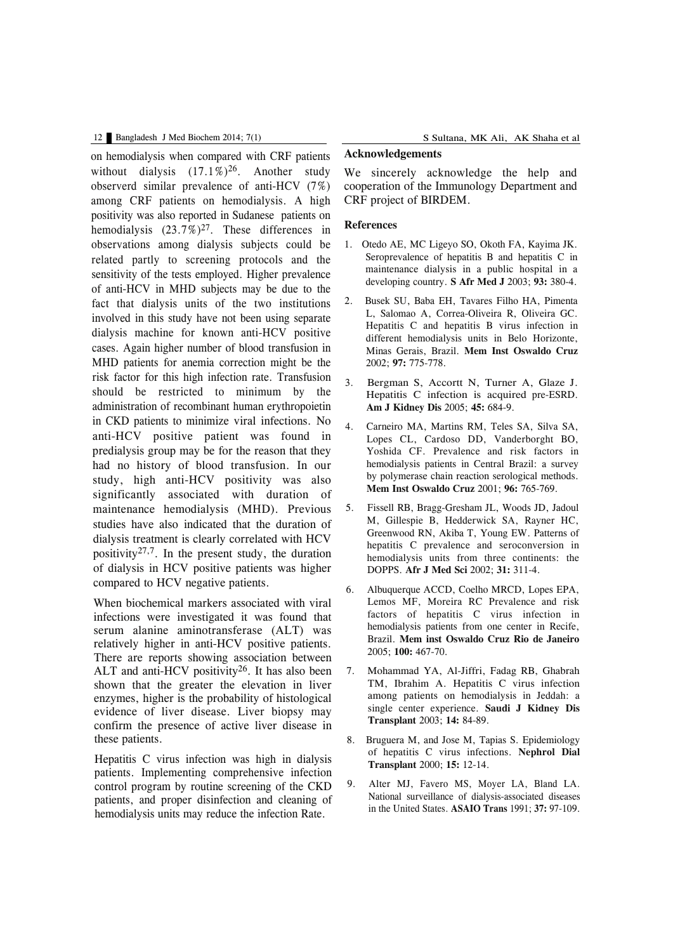#### 12 Bangladesh J Med Biochem 2014; 7(1) S Sultana, MK Ali, AK Shaha et al

on hemodialysis when compared with CRF patients without dialysis  $(17.1\%)^{26}$ . Another study observerd similar prevalence of anti-HCV (7%) among CRF patients on hemodialysis. A high positivity was also reported in Sudanese patients on hemodialysis  $(23.7\%)^{27}$ . These differences in observations among dialysis subjects could be related partly to screening protocols and the sensitivity of the tests employed. Higher prevalence of anti-HCV in MHD subjects may be due to the fact that dialysis units of the two institutions involved in this study have not been using separate dialysis machine for known anti-HCV positive cases. Again higher number of blood transfusion in MHD patients for anemia correction might be the risk factor for this high infection rate. Transfusion should be restricted to minimum by the administration of recombinant human erythropoietin in CKD patients to minimize viral infections. No anti-HCV positive patient was found in predialysis group may be for the reason that they had no history of blood transfusion. In our study, high anti-HCV positivity was also significantly associated with duration of maintenance hemodialysis (MHD). Previous studies have also indicated that the duration of dialysis treatment is clearly correlated with HCV positivity<sup>27,7</sup>. In the present study, the duration of dialysis in HCV positive patients was higher compared to HCV negative patients.

When biochemical markers associated with viral infections were investigated it was found that serum alanine aminotransferase (ALT) was relatively higher in anti-HCV positive patients. There are reports showing association between ALT and anti-HCV positivity<sup>26</sup>. It has also been shown that the greater the elevation in liver enzymes, higher is the probability of histological evidence of liver disease. Liver biopsy may confirm the presence of active liver disease in these patients.

Hepatitis C virus infection was high in dialysis patients. Implementing comprehensive infection control program by routine screening of the CKD patients, and proper disinfection and cleaning of hemodialysis units may reduce the infection Rate.

# **Acknowledgements**

We sincerely acknowledge the help and cooperation of the Immunology Department and CRF project of BIRDEM.

#### **References**

- 1. Otedo AE, MC Ligeyo SO, Okoth FA, Kayima JK. Seroprevalence of hepatitis B and hepatitis C in maintenance dialysis in a public hospital in a developing country. **S Afr Med J** 2003; **93:** 380-4.
- 2. Busek SU, Baba EH, Tavares Filho HA, Pimenta L, Salomao A, Correa-Oliveira R, Oliveira GC. Hepatitis C and hepatitis B virus infection in different hemodialysis units in Belo Horizonte, Minas Gerais, Brazil. **Mem Inst Oswaldo Cruz** 2002; **97:** 775-778.
- 3. Bergman S, Accortt N, Turner A, Glaze J. Hepatitis C infection is acquired pre-ESRD. **Am J Kidney Dis** 2005; **45:** 684-9.
- 4. Carneiro MA, Martins RM, Teles SA, Silva SA, Lopes CL, Cardoso DD, Vanderborght BO, Yoshida CF. Prevalence and risk factors in hemodialysis patients in Central Brazil: a survey by polymerase chain reaction serological methods. **Mem Inst Oswaldo Cruz** 2001; **96:** 765-769.
- 5. Fissell RB, Bragg-Gresham JL, Woods JD, Jadoul M, Gillespie B, Hedderwick SA, Rayner HC, Greenwood RN, Akiba T, Young EW. Patterns of hepatitis C prevalence and seroconversion in hemodialysis units from three continents: the DOPPS. **Afr J Med Sci** 2002; **31:** 311-4.
- 6. Albuquerque ACCD, Coelho MRCD, Lopes EPA, Lemos MF, Moreira RC Prevalence and risk factors of hepatitis C virus infection in hemodialysis patients from one center in Recife, Brazil. **Mem inst Oswaldo Cruz Rio de Janeiro** 2005; **100:** 467-70.
- 7. Mohammad YA, Al-Jiffri, Fadag RB, Ghabrah TM, Ibrahim A. Hepatitis C virus infection among patients on hemodialysis in Jeddah: a single center experience. **Saudi J Kidney Dis Transplant** 2003; **14:** 84-89.
- 8. Bruguera M, and Jose M, Tapias S, Epidemiology of hepatitis C virus infections. **Nephrol Dial Transplant** 2000; **15:** 12-14.
- 9. Alter MJ, Favero MS, Moyer LA, Bland LA. National surveillance of dialysis-associated diseases in the United States. **ASAIO Trans** 1991; **37:** 97-109.